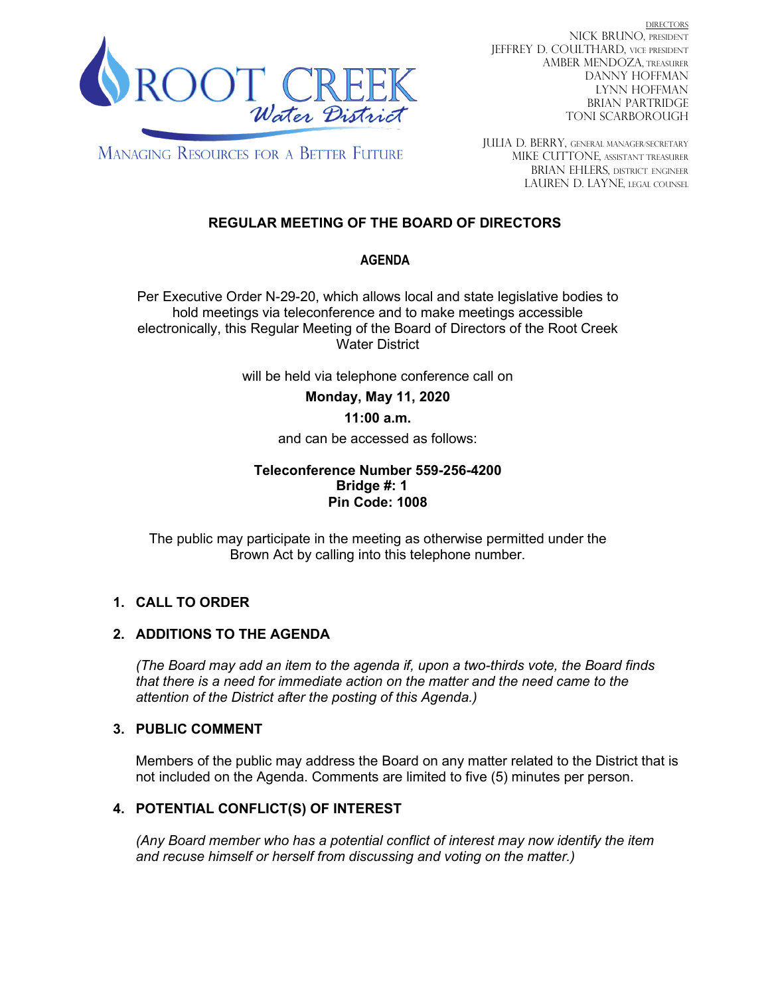

DIRECTORS NICK BRUNO, PRESIDENT JEFFREY D. COULTHARD, Vice President AMBER MENDOZA, TREASURER DANNY HOFFMAN LYNN HOFFMAN BRIAN PARTRIDGE TONI SCARBOROUGH

**MANAGING RESOURCES FOR A BETTER FUTURE** 

JULIA D. BERRY, GENERAL MANAGER/secretary MIKE CUTTONE, Assistant treasurer BRIAN EHLERS, DISTRICT ENGINEER LAUREN D. LAYNE, LEGAL COUNSEL

# **REGULAR MEETING OF THE BOARD OF DIRECTORS**

# **AGENDA**

Per Executive Order N-29-20, which allows local and state legislative bodies to hold meetings via teleconference and to make meetings accessible electronically, this Regular Meeting of the Board of Directors of the Root Creek Water District

will be held via telephone conference call on

**Monday, May 11, 2020** 

# **11:00 a.m.**

and can be accessed as follows:

#### **Teleconference Number 559-256-4200 Bridge #: 1 Pin Code: 1008**

The public may participate in the meeting as otherwise permitted under the Brown Act by calling into this telephone number.

# **1. CALL TO ORDER**

# **2. ADDITIONS TO THE AGENDA**

*(The Board may add an item to the agenda if, upon a two-thirds vote, the Board finds that there is a need for immediate action on the matter and the need came to the attention of the District after the posting of this Agenda.)*

# **3. PUBLIC COMMENT**

Members of the public may address the Board on any matter related to the District that is not included on the Agenda. Comments are limited to five (5) minutes per person.

# **4. POTENTIAL CONFLICT(S) OF INTEREST**

*(Any Board member who has a potential conflict of interest may now identify the item and recuse himself or herself from discussing and voting on the matter.)*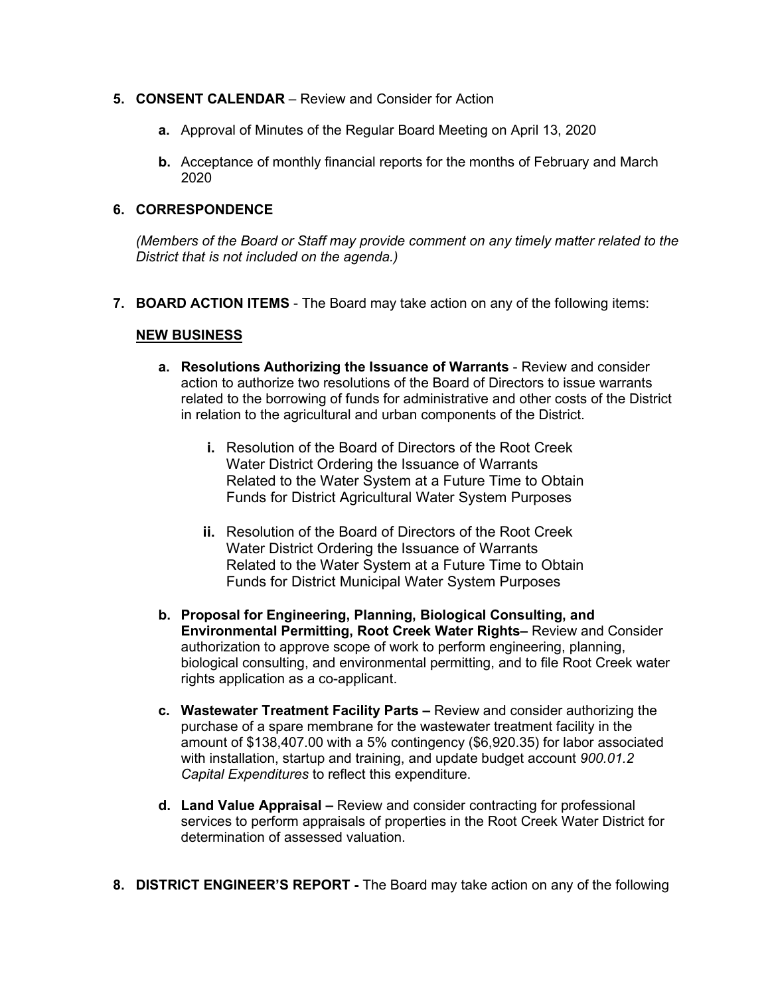- **5. CONSENT CALENDAR**  Review and Consider for Action
	- **a.** Approval of Minutes of the Regular Board Meeting on April 13, 2020
	- **b.** Acceptance of monthly financial reports for the months of February and March 2020

#### **6. CORRESPONDENCE**

*(Members of the Board or Staff may provide comment on any timely matter related to the District that is not included on the agenda.)*

**7. BOARD ACTION ITEMS** - The Board may take action on any of the following items:

#### **NEW BUSINESS**

- **a. Resolutions Authorizing the Issuance of Warrants** Review and consider action to authorize two resolutions of the Board of Directors to issue warrants related to the borrowing of funds for administrative and other costs of the District in relation to the agricultural and urban components of the District.
	- **i.** Resolution of the Board of Directors of the Root Creek Water District Ordering the Issuance of Warrants Related to the Water System at a Future Time to Obtain Funds for District Agricultural Water System Purposes
	- **ii.** Resolution of the Board of Directors of the Root Creek Water District Ordering the Issuance of Warrants Related to the Water System at a Future Time to Obtain Funds for District Municipal Water System Purposes
- **b. Proposal for Engineering, Planning, Biological Consulting, and Environmental Permitting, Root Creek Water Rights–** Review and Consider authorization to approve scope of work to perform engineering, planning, biological consulting, and environmental permitting, and to file Root Creek water rights application as a co-applicant.
- **c. Wastewater Treatment Facility Parts –** Review and consider authorizing the purchase of a spare membrane for the wastewater treatment facility in the amount of \$138,407.00 with a 5% contingency (\$6,920.35) for labor associated with installation, startup and training, and update budget account *900.01.2 Capital Expenditures* to reflect this expenditure.
- **d. Land Value Appraisal –** Review and consider contracting for professional services to perform appraisals of properties in the Root Creek Water District for determination of assessed valuation.
- **8. DISTRICT ENGINEER'S REPORT -** The Board may take action on any of the following